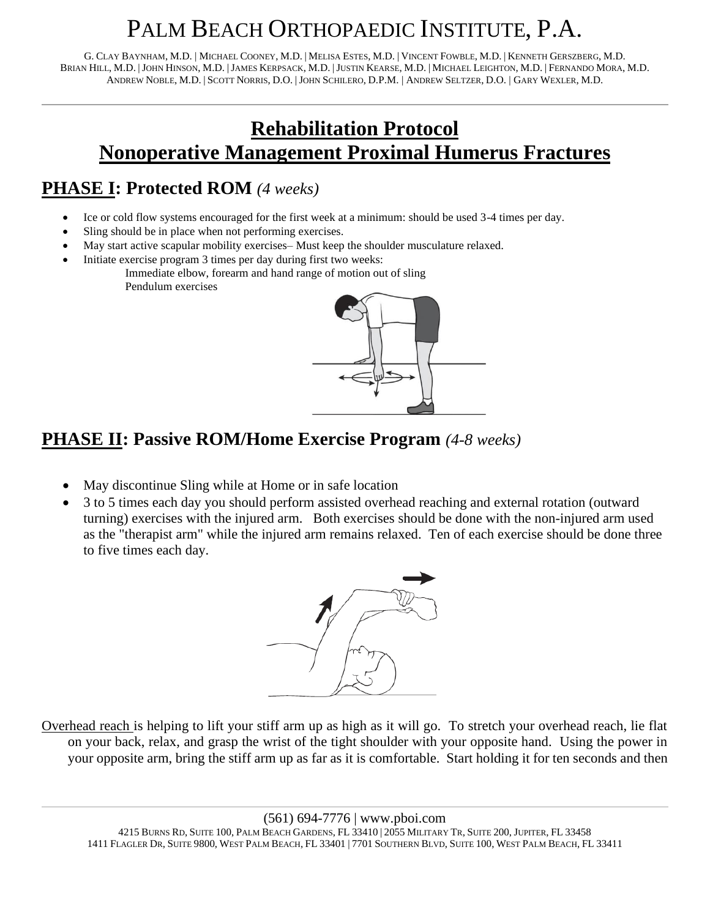# PALM BEACH ORTHOPAEDIC INSTITUTE, P.A.

G. CLAY BAYNHAM, M.D. | MICHAEL COONEY, M.D. | MELISA ESTES, M.D. | VINCENT FOWBLE, M.D. | KENNETH GERSZBERG, M.D. BRIAN HILL, M.D. |JOHN HINSON, M.D. |JAMES KERPSACK, M.D. |JUSTIN KEARSE, M.D. | MICHAEL LEIGHTON, M.D. | FERNANDO MORA, M.D. ANDREW NOBLE, M.D. | SCOTT NORRIS, D.O. |JOHN SCHILERO, D.P.M. | ANDREW SELTZER, D.O. | GARY WEXLER, M.D.

## **Rehabilitation Protocol Nonoperative Management Proximal Humerus Fractures**

## **PHASE I: Protected ROM** *(4 weeks)*

- Ice or cold flow systems encouraged for the first week at a minimum: should be used 3-4 times per day.
- Sling should be in place when not performing exercises.
- May start active scapular mobility exercises– Must keep the shoulder musculature relaxed.
- Initiate exercise program 3 times per day during first two weeks: Immediate elbow, forearm and hand range of motion out of sling Pendulum exercises



### **PHASE II: Passive ROM/Home Exercise Program** *(4-8 weeks)*

- May discontinue Sling while at Home or in safe location
- 3 to 5 times each day you should perform assisted overhead reaching and external rotation (outward turning) exercises with the injured arm. Both exercises should be done with the non-injured arm used as the "therapist arm" while the injured arm remains relaxed. Ten of each exercise should be done three to five times each day.



Overhead reach is helping to lift your stiff arm up as high as it will go. To stretch your overhead reach, lie flat on your back, relax, and grasp the wrist of the tight shoulder with your opposite hand. Using the power in your opposite arm, bring the stiff arm up as far as it is comfortable. Start holding it for ten seconds and then